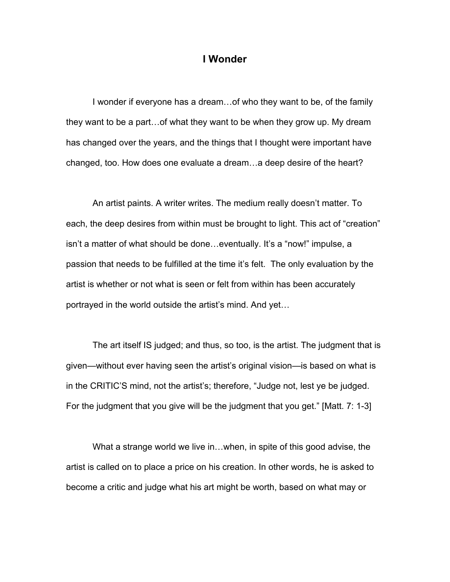## **I Wonder**

I wonder if everyone has a dream…of who they want to be, of the family they want to be a part…of what they want to be when they grow up. My dream has changed over the years, and the things that I thought were important have changed, too. How does one evaluate a dream…a deep desire of the heart?

An artist paints. A writer writes. The medium really doesn't matter. To each, the deep desires from within must be brought to light. This act of "creation" isn't a matter of what should be done…eventually. It's a "now!" impulse, a passion that needs to be fulfilled at the time it's felt. The only evaluation by the artist is whether or not what is seen or felt from within has been accurately portrayed in the world outside the artist's mind. And yet…

The art itself IS judged; and thus, so too, is the artist. The judgment that is given—without ever having seen the artist's original vision—is based on what is in the CRITIC'S mind, not the artist's; therefore, "Judge not, lest ye be judged. For the judgment that you give will be the judgment that you get." [Matt. 7: 1-3]

What a strange world we live in…when, in spite of this good advise, the artist is called on to place a price on his creation. In other words, he is asked to become a critic and judge what his art might be worth, based on what may or